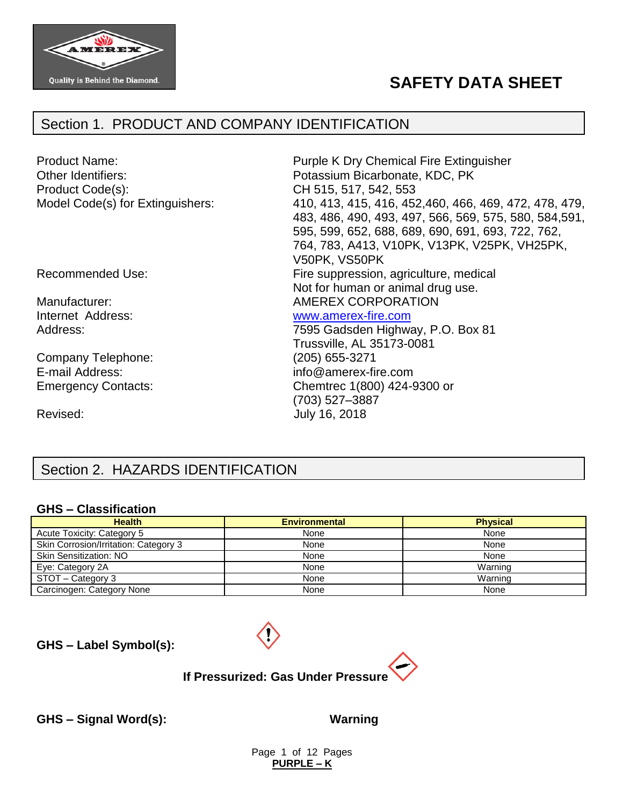

# **SAFETY DATA SHEET**

# Section 1. PRODUCT AND COMPANY IDENTIFICATION

| <b>Product Name:</b><br>Other Identifiers:<br>Product Code(s):<br>Model Code(s) for Extinguishers: | Purple K Dry Chemical Fire Extinguisher<br>Potassium Bicarbonate, KDC, PK<br>CH 515, 517, 542, 553<br>410, 413, 415, 416, 452, 460, 466, 469, 472, 478, 479,<br>483, 486, 490, 493, 497, 566, 569, 575, 580, 584, 591,<br>595, 599, 652, 688, 689, 690, 691, 693, 722, 762,<br>764, 783, A413, V10PK, V13PK, V25PK, VH25PK,<br>V50PK, VS50PK |
|----------------------------------------------------------------------------------------------------|----------------------------------------------------------------------------------------------------------------------------------------------------------------------------------------------------------------------------------------------------------------------------------------------------------------------------------------------|
| Recommended Use:                                                                                   | Fire suppression, agriculture, medical<br>Not for human or animal drug use.                                                                                                                                                                                                                                                                  |
| Manufacturer:                                                                                      | <b>AMEREX CORPORATION</b>                                                                                                                                                                                                                                                                                                                    |
| Internet Address:                                                                                  | www.amerex-fire.com                                                                                                                                                                                                                                                                                                                          |
| Address:                                                                                           | 7595 Gadsden Highway, P.O. Box 81                                                                                                                                                                                                                                                                                                            |
|                                                                                                    | Trussville, AL 35173-0081                                                                                                                                                                                                                                                                                                                    |
| Company Telephone:                                                                                 | (205) 655-3271                                                                                                                                                                                                                                                                                                                               |
| E-mail Address:                                                                                    | info@amerex-fire.com                                                                                                                                                                                                                                                                                                                         |
| <b>Emergency Contacts:</b>                                                                         | Chemtrec 1(800) 424-9300 or<br>(703) 527-3887                                                                                                                                                                                                                                                                                                |
| Revised:                                                                                           | July 16, 2018                                                                                                                                                                                                                                                                                                                                |

# Section 2. HAZARDS IDENTIFICATION

#### **GHS – Classification**

| <b>Health</b>                         | <b>Environmental</b> | <b>Physical</b> |
|---------------------------------------|----------------------|-----------------|
| Acute Toxicity: Category 5            | None                 | None            |
| Skin Corrosion/Irritation: Category 3 | None                 | None            |
| <b>Skin Sensitization: NO</b>         | None                 | None            |
| Eye: Category 2A                      | None                 | Warning         |
| STOT - Category 3                     | None                 | Warning         |
| Carcinogen: Category None             | None                 | None            |

**GHS – Label Symbol(s):**



**GHS – Signal Word(s): Warning**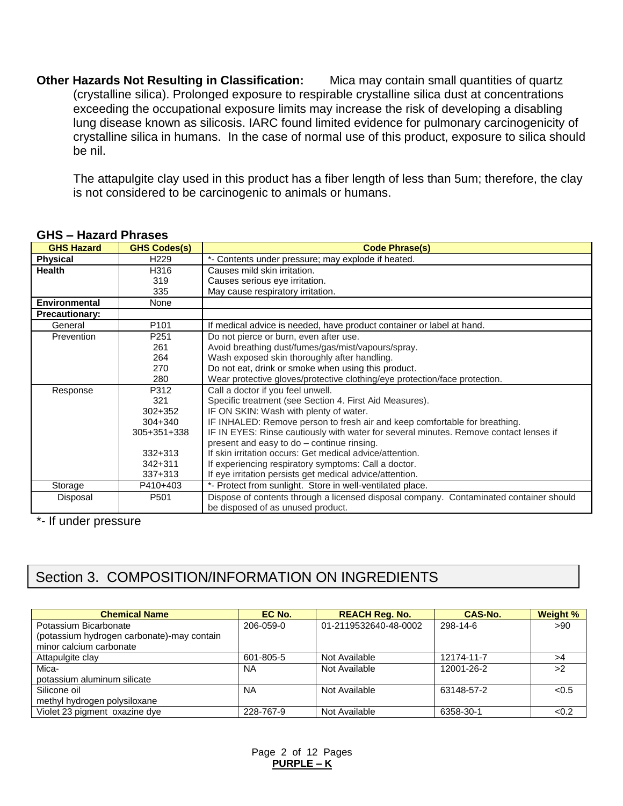**Other Hazards Not Resulting in Classification:** Mica may contain small quantities of quartz (crystalline silica). Prolonged exposure to respirable crystalline silica dust at concentrations exceeding the occupational exposure limits may increase the risk of developing a disabling lung disease known as silicosis. IARC found limited evidence for pulmonary carcinogenicity of crystalline silica in humans. In the case of normal use of this product, exposure to silica should be nil.

The attapulgite clay used in this product has a fiber length of less than 5um; therefore, the clay is not considered to be carcinogenic to animals or humans.

| <b>GHS Hazard</b>     | <b>GHS Codes(s)</b> | <b>Code Phrase(s)</b>                                                                  |  |
|-----------------------|---------------------|----------------------------------------------------------------------------------------|--|
| <b>Physical</b>       | H <sub>229</sub>    | *- Contents under pressure; may explode if heated.                                     |  |
| <b>Health</b>         | H316                | Causes mild skin irritation.                                                           |  |
|                       | 319                 | Causes serious eye irritation.                                                         |  |
|                       | 335                 | May cause respiratory irritation.                                                      |  |
| <b>Environmental</b>  | None                |                                                                                        |  |
| <b>Precautionary:</b> |                     |                                                                                        |  |
| General               | P101                | If medical advice is needed, have product container or label at hand.                  |  |
| Prevention            | P251                | Do not pierce or burn, even after use.                                                 |  |
|                       | 261                 | Avoid breathing dust/fumes/gas/mist/vapours/spray.                                     |  |
|                       | 264                 | Wash exposed skin thoroughly after handling.                                           |  |
|                       | 270                 | Do not eat, drink or smoke when using this product.                                    |  |
|                       | 280                 | Wear protective gloves/protective clothing/eye protection/face protection.             |  |
| Response              | P312                | Call a doctor if you feel unwell.                                                      |  |
|                       | 321                 | Specific treatment (see Section 4. First Aid Measures).                                |  |
|                       | $302 + 352$         | IF ON SKIN: Wash with plenty of water.                                                 |  |
|                       | $304 + 340$         | IF INHALED: Remove person to fresh air and keep comfortable for breathing.             |  |
|                       | 305+351+338         | IF IN EYES: Rinse cautiously with water for several minutes. Remove contact lenses if  |  |
|                       |                     | present and easy to do – continue rinsing.                                             |  |
|                       | $332 + 313$         | If skin irritation occurs: Get medical advice/attention.                               |  |
|                       | $342 + 311$         | If experiencing respiratory symptoms: Call a doctor.                                   |  |
|                       | $337 + 313$         | If eye irritation persists get medical advice/attention.                               |  |
| Storage               | P410+403            | *- Protect from sunlight. Store in well-ventilated place.                              |  |
| Disposal              | P <sub>501</sub>    | Dispose of contents through a licensed disposal company. Contaminated container should |  |
|                       |                     | be disposed of as unused product.                                                      |  |

#### **GHS – Hazard Phrases**

\*- If under pressure

# Section 3. COMPOSITION/INFORMATION ON INGREDIENTS

| <b>Chemical Name</b>                       | EC No.    | <b>REACH Reg. No.</b> | CAS-No.    | Weight % |
|--------------------------------------------|-----------|-----------------------|------------|----------|
| Potassium Bicarbonate                      | 206-059-0 | 01-2119532640-48-0002 | 298-14-6   | >90      |
| (potassium hydrogen carbonate)-may contain |           |                       |            |          |
| minor calcium carbonate                    |           |                       |            |          |
| Attapulgite clay                           | 601-805-5 | Not Available         | 12174-11-7 | >4       |
| Mica-                                      | ΝA        | Not Available         | 12001-26-2 | >2       |
| potassium aluminum silicate                |           |                       |            |          |
| Silicone oil                               | <b>NA</b> | Not Available         | 63148-57-2 | < 0.5    |
| methyl hydrogen polysiloxane               |           |                       |            |          |
| Violet 23 pigment oxazine dye              | 228-767-9 | Not Available         | 6358-30-1  | < 0.2    |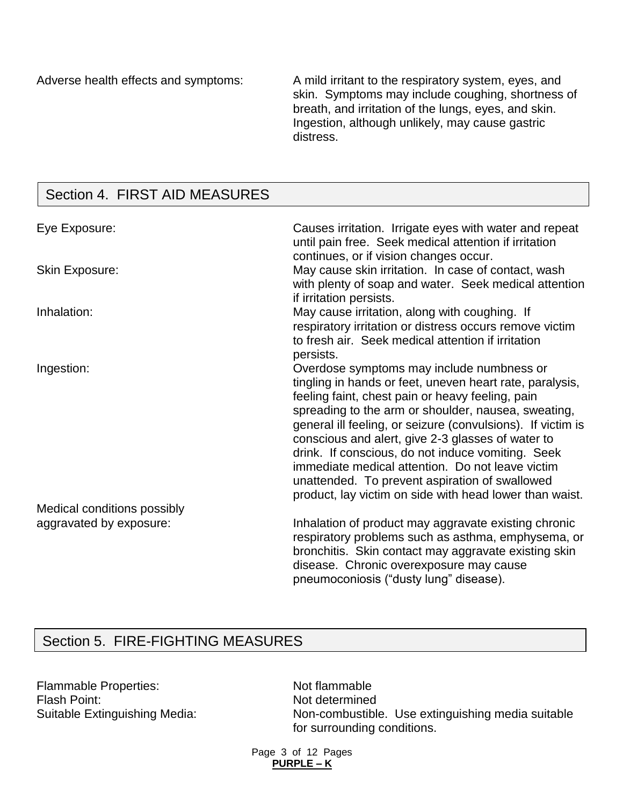Adverse health effects and symptoms: A mild irritant to the respiratory system, eyes, and skin. Symptoms may include coughing, shortness of breath, and irritation of the lungs, eyes, and skin. Ingestion, although unlikely, may cause gastric distress.

# Section 4. FIRST AID MEASURES

| Eye Exposure:               | Causes irritation. Irrigate eyes with water and repeat<br>until pain free. Seek medical attention if irritation<br>continues, or if vision changes occur.                                                                                                                                                                                                                                                                                                                                                                                                  |
|-----------------------------|------------------------------------------------------------------------------------------------------------------------------------------------------------------------------------------------------------------------------------------------------------------------------------------------------------------------------------------------------------------------------------------------------------------------------------------------------------------------------------------------------------------------------------------------------------|
| <b>Skin Exposure:</b>       | May cause skin irritation. In case of contact, wash<br>with plenty of soap and water. Seek medical attention<br>if irritation persists.                                                                                                                                                                                                                                                                                                                                                                                                                    |
| Inhalation:                 | May cause irritation, along with coughing. If<br>respiratory irritation or distress occurs remove victim<br>to fresh air. Seek medical attention if irritation<br>persists.                                                                                                                                                                                                                                                                                                                                                                                |
| Ingestion:                  | Overdose symptoms may include numbness or<br>tingling in hands or feet, uneven heart rate, paralysis,<br>feeling faint, chest pain or heavy feeling, pain<br>spreading to the arm or shoulder, nausea, sweating,<br>general ill feeling, or seizure (convulsions). If victim is<br>conscious and alert, give 2-3 glasses of water to<br>drink. If conscious, do not induce vomiting. Seek<br>immediate medical attention. Do not leave victim<br>unattended. To prevent aspiration of swallowed<br>product, lay victim on side with head lower than waist. |
| Medical conditions possibly |                                                                                                                                                                                                                                                                                                                                                                                                                                                                                                                                                            |
| aggravated by exposure:     | Inhalation of product may aggravate existing chronic<br>respiratory problems such as asthma, emphysema, or<br>bronchitis. Skin contact may aggravate existing skin<br>disease. Chronic overexposure may cause<br>pneumoconiosis ("dusty lung" disease).                                                                                                                                                                                                                                                                                                    |

# Section 5. FIRE-FIGHTING MEASURES

Flammable Properties: Not flammable Flash Point:<br>
Suitable Extinguishing Media: Non-combustible

Non-combustible. Use extinguishing media suitable for surrounding conditions.

Page 3 of 12 Pages **PURPLE – K**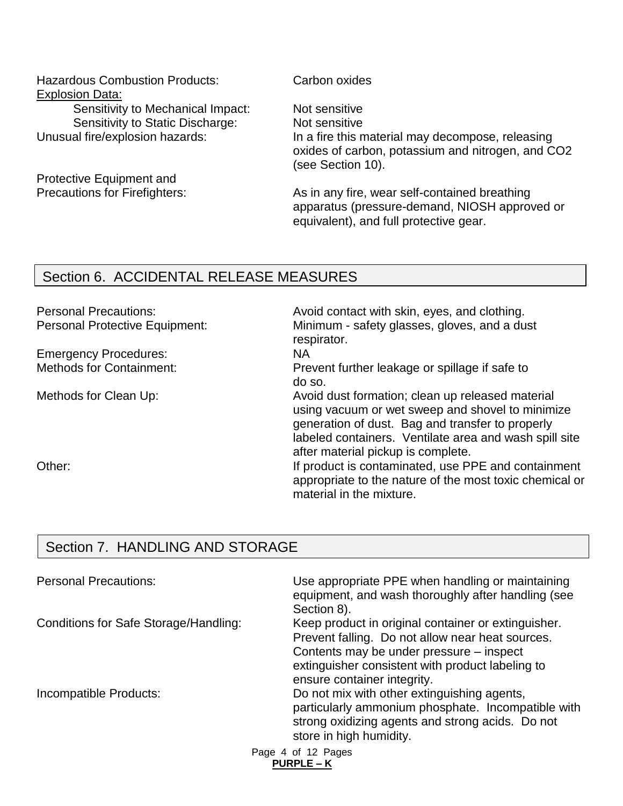Hazardous Combustion Products: Carbon oxides Explosion Data: Sensitivity to Mechanical Impact: Not sensitive Sensitivity to Static Discharge: Not sensitive

Protective Equipment and

Unusual fire/explosion hazards: In a fire this material may decompose, releasing oxides of carbon, potassium and nitrogen, and CO2 (see Section 10).

Precautions for Firefighters: As in any fire, wear self-contained breathing apparatus (pressure-demand, NIOSH approved or equivalent), and full protective gear.

## Section 6. ACCIDENTAL RELEASE MEASURES

Emergency Procedures: NA

Personal Precautions: example and the Avoid contact with skin, eyes, and clothing. Personal Protective Equipment: Minimum - safety glasses, gloves, and a dust respirator.

Methods for Containment: Prevent further leakage or spillage if safe to do so.

Methods for Clean Up: Methods for Clean Up: Avoid dust formation; clean up released material using vacuum or wet sweep and shovel to minimize generation of dust. Bag and transfer to properly labeled containers. Ventilate area and wash spill site after material pickup is complete.

Other: Containment is contaminated, use PPE and containment appropriate to the nature of the most toxic chemical or material in the mixture.

# Section 7. HANDLING AND STORAGE

| <b>Personal Precautions:</b>          | Use appropriate PPE when handling or maintaining<br>equipment, and wash thoroughly after handling (see<br>Section 8).                                                                                                                  |
|---------------------------------------|----------------------------------------------------------------------------------------------------------------------------------------------------------------------------------------------------------------------------------------|
| Conditions for Safe Storage/Handling: | Keep product in original container or extinguisher.<br>Prevent falling. Do not allow near heat sources.<br>Contents may be under pressure – inspect<br>extinguisher consistent with product labeling to<br>ensure container integrity. |
| Incompatible Products:                | Do not mix with other extinguishing agents,<br>particularly ammonium phosphate. Incompatible with<br>strong oxidizing agents and strong acids. Do not<br>store in high humidity.                                                       |
|                                       | Page 4 of 12 Pages<br><b>PURPLE – K</b>                                                                                                                                                                                                |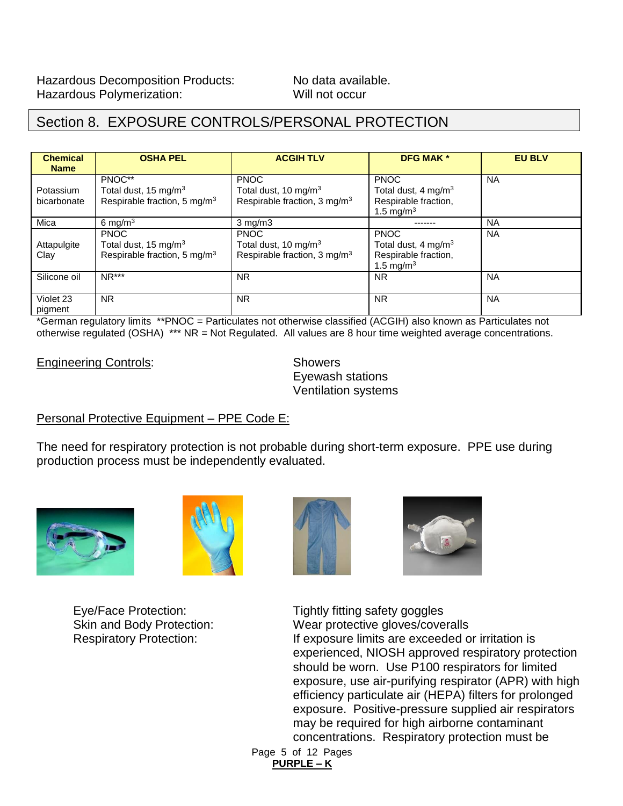# Section 8. EXPOSURE CONTROLS/PERSONAL PROTECTION

| <b>Chemical</b><br><b>Name</b> | <b>OSHA PEL</b>                          | <b>ACGIH TLV</b>                         | <b>DFG MAK *</b>                | <b>EU BLV</b> |
|--------------------------------|------------------------------------------|------------------------------------------|---------------------------------|---------------|
|                                | PNOC**                                   | <b>PNOC</b>                              | <b>PNOC</b>                     | <b>NA</b>     |
| Potassium                      | Total dust, 15 mg/m <sup>3</sup>         | Total dust, 10 mg/m <sup>3</sup>         | Total dust, 4 mg/m <sup>3</sup> |               |
| bicarbonate                    | Respirable fraction, 5 mg/m <sup>3</sup> | Respirable fraction, 3 mg/m <sup>3</sup> | Respirable fraction,            |               |
|                                |                                          |                                          | 1.5 mg/m <sup>3</sup>           |               |
| Mica                           | 6 mg/m $3$                               | $3$ mg/m $3$                             |                                 | NA            |
|                                | <b>PNOC</b>                              | <b>PNOC</b>                              | <b>PNOC</b>                     | <b>NA</b>     |
| Attapulgite                    | Total dust, 15 mg/m <sup>3</sup>         | Total dust, 10 mg/m <sup>3</sup>         | Total dust, 4 mg/m <sup>3</sup> |               |
| Clay                           | Respirable fraction, 5 mg/m <sup>3</sup> | Respirable fraction, 3 mg/m <sup>3</sup> | Respirable fraction,            |               |
|                                |                                          |                                          | 1.5 mg/m <sup>3</sup>           |               |
| Silicone oil                   | $NR***$                                  | <b>NR</b>                                | <b>NR</b>                       | <b>NA</b>     |
|                                |                                          |                                          |                                 |               |
| Violet 23                      | <b>NR</b>                                | <b>NR</b>                                | <b>NR</b>                       | <b>NA</b>     |
| pigment                        |                                          |                                          |                                 |               |

\*German regulatory limits \*\*PNOC = Particulates not otherwise classified (ACGIH) also known as Particulates not otherwise regulated (OSHA) \*\*\* NR = Not Regulated. All values are 8 hour time weighted average concentrations.

Engineering Controls: Showers

Eyewash stations Ventilation systems

## Personal Protective Equipment – PPE Code E:

The need for respiratory protection is not probable during short-term exposure. PPE use during production process must be independently evaluated.









Eye/Face Protection: Tightly fitting safety goggles Skin and Body Protection: Wear protective gloves/coveralls Respiratory Protection: If exposure limits are exceeded or irritation is experienced, NIOSH approved respiratory protection should be worn. Use P100 respirators for limited exposure, use air-purifying respirator (APR) with high efficiency particulate air (HEPA) filters for prolonged exposure. Positive-pressure supplied air respirators may be required for high airborne contaminant concentrations. Respiratory protection must be

Page 5 of 12 Pages **PURPLE – K**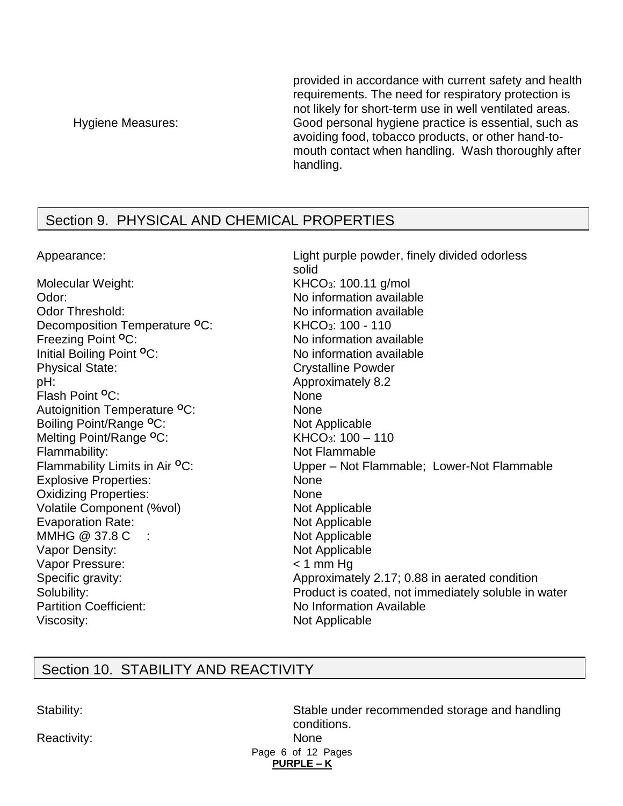provided in accordance with current safety and health requirements. The need for respiratory protection is not likely for short-term use in well ventilated areas. Hygiene Measures: Good personal hygiene practice is essential, such as avoiding food, tobacco products, or other hand-tomouth contact when handling. Wash thoroughly after handling.

# Section 9. PHYSICAL AND CHEMICAL PROPERTIES

Appearance: Light purple powder, finely divided odorless solid Molecular Weight: KHCO<sub>3</sub>: 100.11 g/mol Odor: No information available Odor Threshold: No information available Decomposition Temperature **<sup>O</sup>**C: KHCO3: 100 - 110 Freezing Point <sup>O</sup>C: No information available Initial Boiling Point **<sup>O</sup>**C: No information available Physical State: Crystalline Powder pH:  $\blacksquare$ Flash Point **<sup>O</sup>**C: None Autoignition Temperature **<sup>O</sup>**C: None Boiling Point/Range <sup>o</sup>C: Not Applicable Melting Point/Range <sup>o</sup>C: KHCO<sub>3</sub>: 100 – 110 Flammability: Not Flammable Flammability Limits in Air <sup>o</sup>C: Upper – Not Flammable; Lower-Not Flammable Explosive Properties: None Oxidizing Properties: None Volatile Component (%vol) Not Applicable Evaporation Rate: Not Applicable MMHG @ 37.8 C : Not Applicable Vapor Density: Not Applicable Vapor Pressure: < 1 mm Hg Specific gravity: Specific gravity: Approximately 2.17; 0.88 in aerated condition Solubility: Product is coated, not immediately soluble in water Partition Coefficient: No Information Available Viscosity: Not Applicable

# Section 10. STABILITY AND REACTIVITY

Reactivity: None

Page 6 of 12 Pages **PURPLE – K**  Stability: Stable under recommended storage and handling conditions.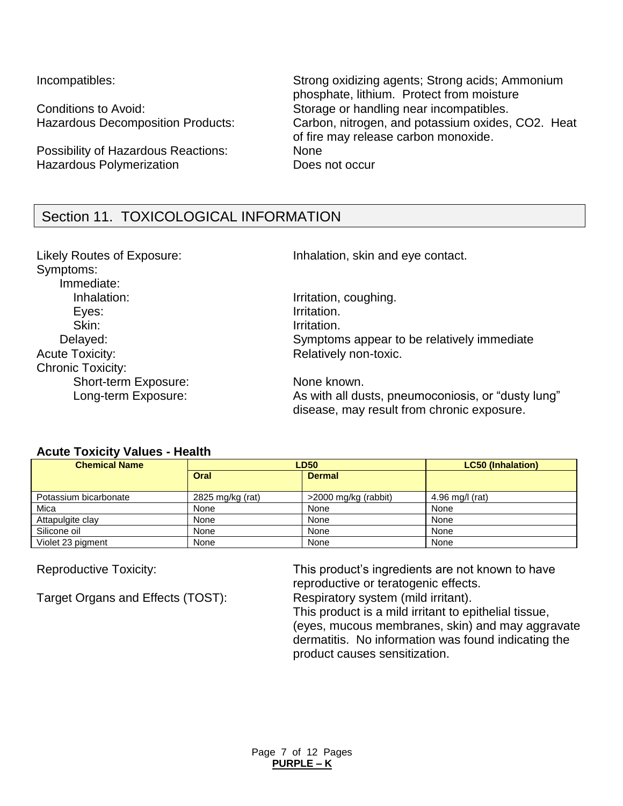Possibility of Hazardous Reactions: None Hazardous Polymerization **Example 20 Figure 10** Does not occur

Incompatibles: Strong oxidizing agents; Strong acids; Ammonium phosphate, lithium. Protect from moisture Conditions to Avoid: Storage or handling near incompatibles. Hazardous Decomposition Products: Carbon, nitrogen, and potassium oxides, CO2. Heat of fire may release carbon monoxide.

# Section 11. TOXICOLOGICAL INFORMATION

Symptoms: Immediate: Inhalation: Inhalation: Inhalation, coughing. Eyes: The Contraction of the United States of the United States of the United States of the United States of the United States of the United States of the United States of the United States of the United States of the Unit Skin: Irritation. Acute Toxicity: Acute Toxicity: Acute Toxicity: Relatively non-toxic. Chronic Toxicity: Short-term Exposure: None known.

Likely Routes of Exposure: Inhalation, skin and eye contact.

Delayed: Symptoms appear to be relatively immediate

Long-term Exposure: As with all dusts, pneumoconiosis, or "dusty lung" disease, may result from chronic exposure.

### **Acute Toxicity Values - Health**

| <b>Chemical Name</b>  | <b>LD50</b>      |                      | <b>LC50 (Inhalation)</b> |
|-----------------------|------------------|----------------------|--------------------------|
|                       | Oral             | <b>Dermal</b>        |                          |
| Potassium bicarbonate | 2825 mg/kg (rat) | >2000 mg/kg (rabbit) | $4.96$ mg/l (rat)        |
| Mica                  | None             | None                 | None                     |
| Attapulgite clay      | None             | None                 | None                     |
| Silicone oil          | None             | None                 | None                     |
| Violet 23 pigment     | None             | None                 | None                     |

Target Organs and Effects (TOST): Respiratory system (mild irritant).

Reproductive Toxicity: This product's ingredients are not known to have reproductive or teratogenic effects.

This product is a mild irritant to epithelial tissue, (eyes, mucous membranes, skin) and may aggravate dermatitis. No information was found indicating the product causes sensitization.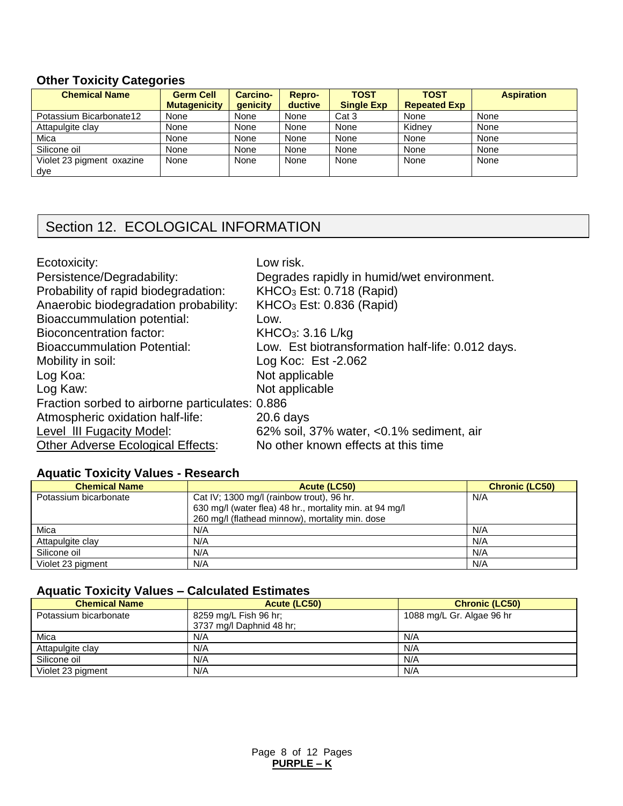## **Other Toxicity Categories**

| <b>Chemical Name</b>      | <b>Germ Cell</b><br><b>Mutagenicity</b> | <b>Carcino-</b><br>qenicity | Repro-<br>ductive | <b>TOST</b><br><b>Single Exp</b> | <b>TOST</b><br><b>Repeated Exp</b> | <b>Aspiration</b> |
|---------------------------|-----------------------------------------|-----------------------------|-------------------|----------------------------------|------------------------------------|-------------------|
| Potassium Bicarbonate12   | None                                    | None                        | None              | Cat 3                            | None                               | None              |
| Attapulgite clay          | None                                    | None                        | None              | None                             | Kidnev                             | None              |
| Mica                      | None                                    | None                        | None              | None                             | None                               | None              |
| Silicone oil              | None                                    | None                        | None              | None                             | None                               | None              |
| Violet 23 pigment oxazine | None                                    | None                        | None              | None                             | None                               | None              |
| dye                       |                                         |                             |                   |                                  |                                    |                   |

# Section 12. ECOLOGICAL INFORMATION

| Ecotoxicity:<br>Persistence/Degradability:<br>Probability of rapid biodegradation:<br>Anaerobic biodegradation probability:<br><b>Bioaccummulation potential:</b><br>Bioconcentration factor:<br><b>Bioaccummulation Potential:</b><br>Mobility in soil: | Low risk.<br>Degrades rapidly in humid/wet environment.<br>KHCO <sub>3</sub> Est: 0.718 (Rapid)<br>$KHCO3$ Est: 0.836 (Rapid)<br>Low.<br>KHCO <sub>3</sub> : 3.16 L/kg<br>Low. Est biotransformation half-life: 0.012 days.<br>Log Koc: Est - 2.062 |
|----------------------------------------------------------------------------------------------------------------------------------------------------------------------------------------------------------------------------------------------------------|-----------------------------------------------------------------------------------------------------------------------------------------------------------------------------------------------------------------------------------------------------|
|                                                                                                                                                                                                                                                          |                                                                                                                                                                                                                                                     |
|                                                                                                                                                                                                                                                          |                                                                                                                                                                                                                                                     |
|                                                                                                                                                                                                                                                          |                                                                                                                                                                                                                                                     |
|                                                                                                                                                                                                                                                          |                                                                                                                                                                                                                                                     |
| Log Koa:                                                                                                                                                                                                                                                 | Not applicable                                                                                                                                                                                                                                      |
| Log Kaw:                                                                                                                                                                                                                                                 | Not applicable                                                                                                                                                                                                                                      |
| Fraction sorbed to airborne particulates: 0.886                                                                                                                                                                                                          |                                                                                                                                                                                                                                                     |
| Atmospheric oxidation half-life:                                                                                                                                                                                                                         | $20.6$ days                                                                                                                                                                                                                                         |
| Level III Fugacity Model:                                                                                                                                                                                                                                | 62% soil, 37% water, <0.1% sediment, air                                                                                                                                                                                                            |
| <b>Other Adverse Ecological Effects:</b>                                                                                                                                                                                                                 | No other known effects at this time                                                                                                                                                                                                                 |

## **Aquatic Toxicity Values - Research**

| <b>Chemical Name</b>  | Acute (LC50)                                            | <b>Chronic (LC50)</b> |
|-----------------------|---------------------------------------------------------|-----------------------|
| Potassium bicarbonate | Cat IV; 1300 mg/l (rainbow trout), 96 hr.               | N/A                   |
|                       | 630 mg/l (water flea) 48 hr., mortality min. at 94 mg/l |                       |
|                       | 260 mg/l (flathead minnow), mortality min. dose         |                       |
| Mica                  | N/A                                                     | N/A                   |
| Attapulgite clay      | N/A                                                     | N/A                   |
| Silicone oil          | N/A                                                     | N/A                   |
| Violet 23 pigment     | N/A                                                     | N/A                   |

### **Aquatic Toxicity Values – Calculated Estimates**

| <b>Chemical Name</b>  | Acute (LC50)                                      | <b>Chronic (LC50)</b>     |
|-----------------------|---------------------------------------------------|---------------------------|
| Potassium bicarbonate | 8259 mg/L Fish 96 hr;<br>3737 mg/l Daphnid 48 hr; | 1088 mg/L Gr. Algae 96 hr |
| Mica                  | N/A                                               | N/A                       |
| Attapulgite clay      | N/A                                               | N/A                       |
| Silicone oil          | N/A                                               | N/A                       |
| Violet 23 pigment     | N/A                                               | N/A                       |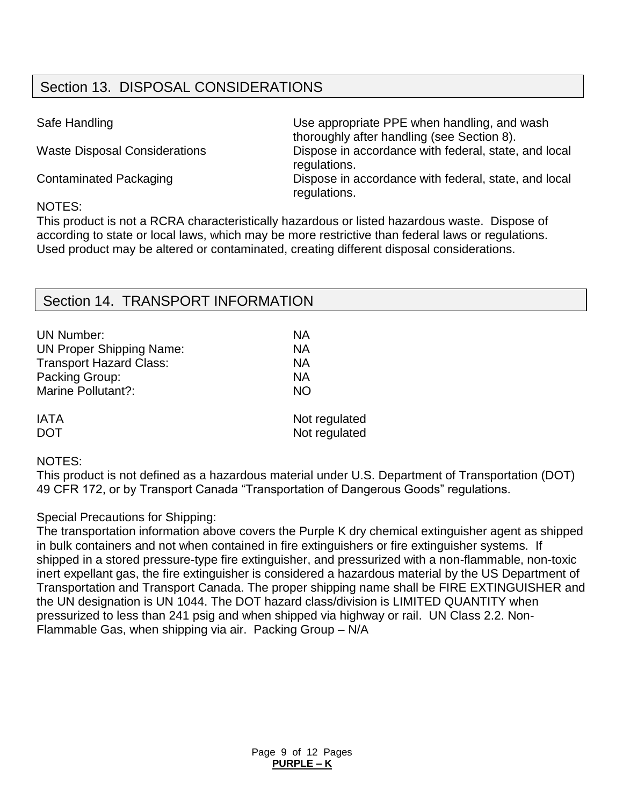# Section 13. DISPOSAL CONSIDERATIONS

| Safe Handling                        | Use appropriate PPE when handling, and wash<br>thoroughly after handling (see Section 8). |
|--------------------------------------|-------------------------------------------------------------------------------------------|
| <b>Waste Disposal Considerations</b> | Dispose in accordance with federal, state, and local<br>regulations.                      |
| <b>Contaminated Packaging</b>        | Dispose in accordance with federal, state, and local<br>regulations.                      |
|                                      |                                                                                           |

#### NOTES:

This product is not a RCRA characteristically hazardous or listed hazardous waste. Dispose of according to state or local laws, which may be more restrictive than federal laws or regulations. Used product may be altered or contaminated, creating different disposal considerations.

## Section 14. TRANSPORT INFORMATION

| <b>UN Number:</b>               | NА            |
|---------------------------------|---------------|
| <b>UN Proper Shipping Name:</b> | NА            |
| <b>Transport Hazard Class:</b>  | ΝA            |
| Packing Group:                  | NА            |
| Marine Pollutant?:              | <b>NO</b>     |
| <b>IATA</b>                     | Not regulated |
| <b>DOT</b>                      | Not regulated |

## NOTES:

This product is not defined as a hazardous material under U.S. Department of Transportation (DOT) 49 CFR 172, or by Transport Canada "Transportation of Dangerous Goods" regulations.

### Special Precautions for Shipping:

The transportation information above covers the Purple K dry chemical extinguisher agent as shipped in bulk containers and not when contained in fire extinguishers or fire extinguisher systems. If shipped in a stored pressure-type fire extinguisher, and pressurized with a non-flammable, non-toxic inert expellant gas, the fire extinguisher is considered a hazardous material by the US Department of Transportation and Transport Canada. The proper shipping name shall be FIRE EXTINGUISHER and the UN designation is UN 1044. The DOT hazard class/division is LIMITED QUANTITY when pressurized to less than 241 psig and when shipped via highway or rail. UN Class 2.2. Non-Flammable Gas, when shipping via air. Packing Group – N/A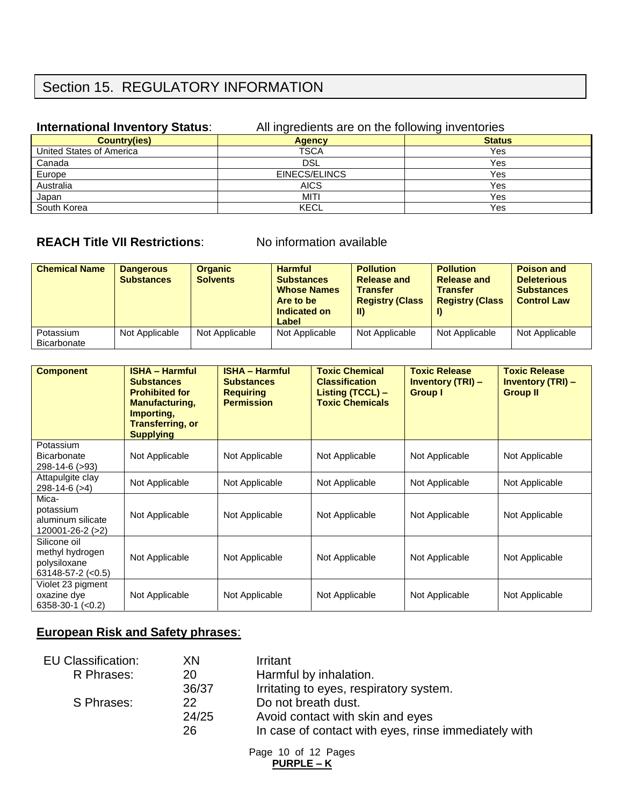# Section 15. REGULATORY INFORMATION

#### **International Inventory Status:** All ingredients are on the following inventories

| $\sim$        | .             |
|---------------|---------------|
| <b>Agency</b> | <b>Status</b> |
| <b>TSCA</b>   | Yes           |
| <b>DSL</b>    | Yes           |
| EINECS/ELINCS | Yes           |
| <b>AICS</b>   | Yes           |
| MITI          | Yes           |
| KECL          | Yes           |
|               |               |

## **REACH Title VII Restrictions:** No information available

| <b>Chemical Name</b>     | <b>Dangerous</b><br><b>Substances</b> | <b>Organic</b><br><b>Solvents</b> | <b>Harmful</b><br><b>Substances</b><br><b>Whose Names</b><br>Are to be<br>Indicated on<br>Label | <b>Pollution</b><br><b>Release and</b><br><b>Transfer</b><br><b>Registry (Class</b><br>-II) | <b>Pollution</b><br><b>Release and</b><br><b>Transfer</b><br><b>Registry (Class</b> | <b>Poison and</b><br><b>Deleterious</b><br><b>Substances</b><br><b>Control Law</b> |
|--------------------------|---------------------------------------|-----------------------------------|-------------------------------------------------------------------------------------------------|---------------------------------------------------------------------------------------------|-------------------------------------------------------------------------------------|------------------------------------------------------------------------------------|
| Potassium<br>Bicarbonate | Not Applicable                        | Not Applicable                    | Not Applicable                                                                                  | Not Applicable                                                                              | Not Applicable                                                                      | Not Applicable                                                                     |

| <b>Component</b>                                                                | <b>ISHA - Harmful</b><br><b>Substances</b><br><b>Prohibited for</b><br><b>Manufacturing,</b><br>Importing,<br><b>Transferring, or</b><br><b>Supplying</b> | <b>ISHA - Harmful</b><br><b>Substances</b><br><b>Requiring</b><br><b>Permission</b> | <b>Toxic Chemical</b><br><b>Classification</b><br>Listing (TCCL) -<br><b>Toxic Chemicals</b> | <b>Toxic Release</b><br><b>Inventory (TRI) -</b><br><b>Group I</b> | <b>Toxic Release</b><br><b>Inventory (TRI) -</b><br><b>Group II</b> |
|---------------------------------------------------------------------------------|-----------------------------------------------------------------------------------------------------------------------------------------------------------|-------------------------------------------------------------------------------------|----------------------------------------------------------------------------------------------|--------------------------------------------------------------------|---------------------------------------------------------------------|
| Potassium<br><b>Bicarbonate</b><br>298-14-6 (>93)                               | Not Applicable                                                                                                                                            | Not Applicable                                                                      | Not Applicable                                                                               | Not Applicable                                                     | Not Applicable                                                      |
| Attapulgite clay<br>$298-14-6$ ( $>4$ )                                         | Not Applicable                                                                                                                                            | Not Applicable                                                                      | Not Applicable                                                                               | Not Applicable                                                     | Not Applicable                                                      |
| Mica-<br>potassium<br>aluminum silicate<br>120001-26-2 (>2)                     | Not Applicable                                                                                                                                            | Not Applicable                                                                      | Not Applicable                                                                               | Not Applicable                                                     | Not Applicable                                                      |
| Silicone oil<br>methyl hydrogen<br>polysiloxane<br>$63148 - 57 - 2 \approx 0.5$ | Not Applicable                                                                                                                                            | Not Applicable                                                                      | Not Applicable                                                                               | Not Applicable                                                     | Not Applicable                                                      |
| Violet 23 pigment<br>oxazine dye<br>$6358-30-1$ (<0.2)                          | Not Applicable                                                                                                                                            | Not Applicable                                                                      | Not Applicable                                                                               | Not Applicable                                                     | Not Applicable                                                      |

## **European Risk and Safety phrases**:

| <b>EU Classification:</b> | XN    | Irritant                                             |
|---------------------------|-------|------------------------------------------------------|
| R Phrases:                | 20    | Harmful by inhalation.                               |
|                           | 36/37 | Irritating to eyes, respiratory system.              |
| S Phrases:                | 22    | Do not breath dust.                                  |
|                           | 24/25 | Avoid contact with skin and eyes                     |
|                           | 26    | In case of contact with eyes, rinse immediately with |
|                           |       |                                                      |

Page 10 of 12 Pages **PURPLE – K**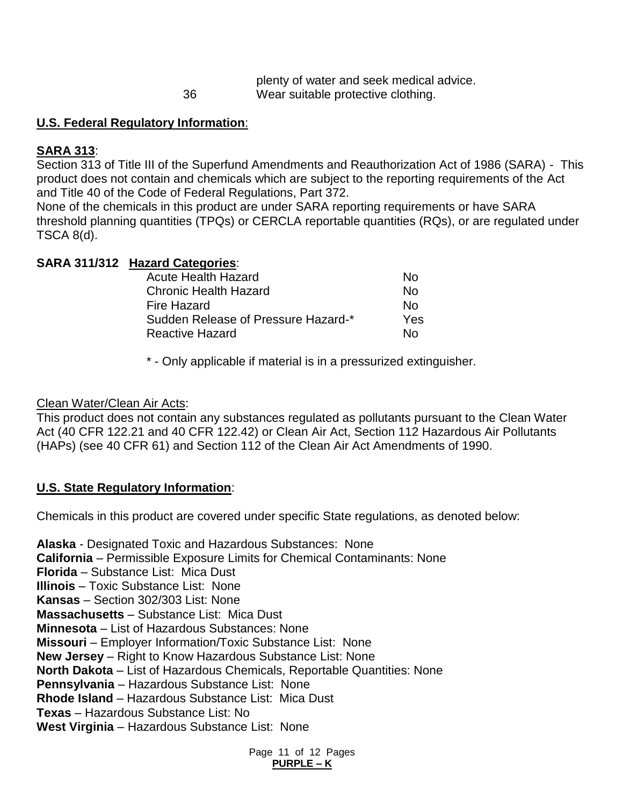|    | plenty of water and seek medical advice. |
|----|------------------------------------------|
| 36 | Wear suitable protective clothing.       |

## **U.S. Federal Regulatory Information**:

## **SARA 313**:

Section 313 of Title III of the Superfund Amendments and Reauthorization Act of 1986 (SARA) - This product does not contain and chemicals which are subject to the reporting requirements of the Act and Title 40 of the Code of Federal Regulations, Part 372.

None of the chemicals in this product are under SARA reporting requirements or have SARA threshold planning quantities (TPQs) or CERCLA reportable quantities (RQs), or are regulated under TSCA 8(d).

## **SARA 311/312 Hazard Categories**:

| Acute Health Hazard                 | N٥  |
|-------------------------------------|-----|
| <b>Chronic Health Hazard</b>        | N٥  |
| <b>Fire Hazard</b>                  | N٥  |
| Sudden Release of Pressure Hazard-* | Yes |
| <b>Reactive Hazard</b>              | N٥  |

\* - Only applicable if material is in a pressurized extinguisher.

## Clean Water/Clean Air Acts:

This product does not contain any substances regulated as pollutants pursuant to the Clean Water Act (40 CFR 122.21 and 40 CFR 122.42) or Clean Air Act, Section 112 Hazardous Air Pollutants (HAPs) (see 40 CFR 61) and Section 112 of the Clean Air Act Amendments of 1990.

## **U.S. State Regulatory Information**:

Chemicals in this product are covered under specific State regulations, as denoted below:

**Alaska** - Designated Toxic and Hazardous Substances: None **California** – Permissible Exposure Limits for Chemical Contaminants: None **Florida** – Substance List: Mica Dust **Illinois** – Toxic Substance List: None **Kansas** – Section 302/303 List: None **Massachusetts** – Substance List: Mica Dust **Minnesota** – List of Hazardous Substances: None **Missouri** – Employer Information/Toxic Substance List: None **New Jersey** – Right to Know Hazardous Substance List: None **North Dakota** – List of Hazardous Chemicals, Reportable Quantities: None **Pennsylvania** – Hazardous Substance List: None **Rhode Island** – Hazardous Substance List: Mica Dust **Texas** – Hazardous Substance List: No **West Virginia** – Hazardous Substance List: None

> Page 11 of 12 Pages **PURPLE – K**